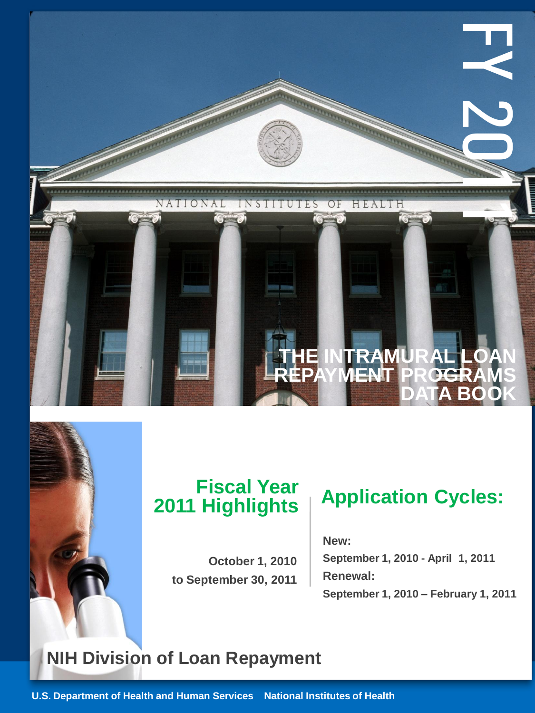

## **Fiscal Year 2011 Highlights**

**October 1, 2010 to September 30, 2011**

# **Application Cycles:**

 **Renewal: New: September 1, 2010 - April 1, 2011 September 1, 2010 – February 1, 2011**

## **NIH Division of Loan Repayment**

 **– U.S. Department of Health and Human Services National Institutes of Health**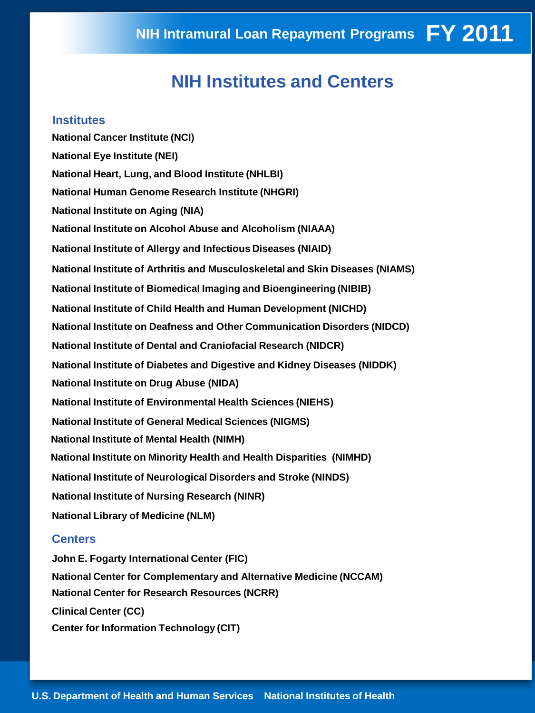## **NIH Institutes and Centers**

#### **Institutes**

 **National Institute of Arthritis and Musculoskeletal and Skin Diseases (NIAMS) National Institute of Neurological Disorders and Stroke (NINDS) National Institute of Nursing Research (NINR) National Library of Medicine (NLM) National Cancer Institute (NCI) National Eye Institute (NEI) National Heart, Lung, and Blood Institute (NHLBI) National Human Genome Research Institute (NHGRI) National Institute on Aging (NIA) National Institute on Alcohol Abuse and Alcoholism (NIAAA) National Institute of Allergy and Infectious Diseases (NIAID) National Institute of Biomedical Imaging and Bioengineering (NIBIB) National Institute of Child Health and Human Development (NICHD) National Institute on Deafness and Other Communication Disorders (NIDCD) National Institute of Dental and Craniofacial Research (NIDCR) National Institute of Diabetes and Digestive and Kidney Diseases (NIDDK) National Institute on Drug Abuse (NIDA) National Institute of Environmental Health Sciences (NIEHS) National Institute of General Medical Sciences (NIGMS) National Institute of Mental Health (NIMH) National Institute on Minority Health and Health Disparities (NIMHD)** 

#### **Centers**

**John E. Fogarty International Center (FIC) National Center for Complementary and Alternative Medicine (NCCAM) National Center for Research Resources (NCRR) Clinical Center (CC) Center for Information Technology (CIT)**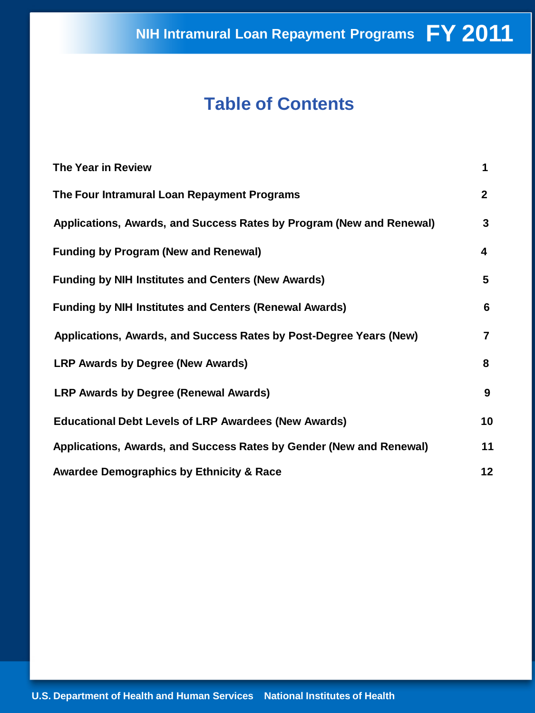## **Table of Contents**

| The Year in Review                                                   | 1            |
|----------------------------------------------------------------------|--------------|
| The Four Intramural Loan Repayment Programs                          | $\mathbf{2}$ |
| Applications, Awards, and Success Rates by Program (New and Renewal) | 3            |
| <b>Funding by Program (New and Renewal)</b>                          | 4            |
| <b>Funding by NIH Institutes and Centers (New Awards)</b>            | 5            |
| <b>Funding by NIH Institutes and Centers (Renewal Awards)</b>        | 6            |
| Applications, Awards, and Success Rates by Post-Degree Years (New)   | 7            |
| <b>LRP Awards by Degree (New Awards)</b>                             | 8            |
| <b>LRP Awards by Degree (Renewal Awards)</b>                         | 9            |
| <b>Educational Debt Levels of LRP Awardees (New Awards)</b>          | 10           |
| Applications, Awards, and Success Rates by Gender (New and Renewal)  | 11           |
| <b>Awardee Demographics by Ethnicity &amp; Race</b>                  | 12           |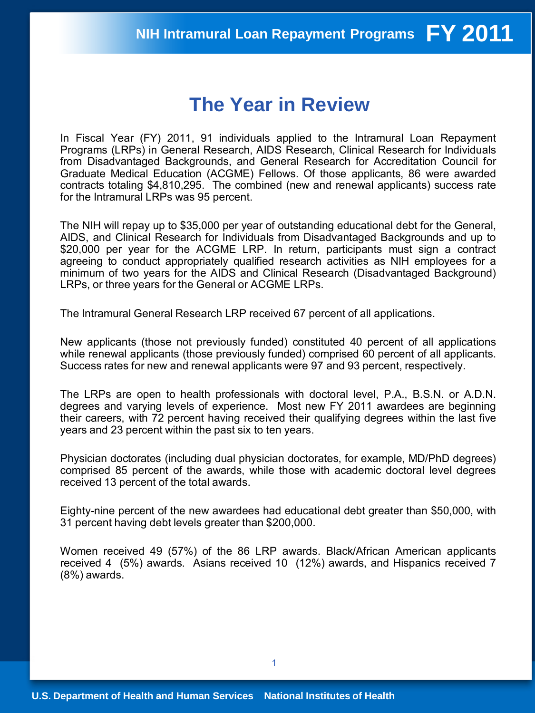## **The Year in Review**

In Fiscal Year (FY) 2011, 91 individuals applied to the Intramural Loan Repayment Programs (LRPs) in General Research, AIDS Research, Clinical Research for Individuals from Disadvantaged Backgrounds, and General Research for Accreditation Council for Graduate Medical Education (ACGME) Fellows. Of those applicants, 86 were awarded contracts totaling \$4,810,295. The combined (new and renewal applicants) success rate for the Intramural LRPs was 95 percent.

The NIH will repay up to \$35,000 per year of outstanding educational debt for the General, AIDS, and Clinical Research for Individuals from Disadvantaged Backgrounds and up to \$20,000 per year for the ACGME LRP. In return, participants must sign a contract agreeing to conduct appropriately qualified research activities as NIH employees for a minimum of two years for the AIDS and Clinical Research (Disadvantaged Background) LRPs, or three years for the General or ACGME LRPs.

The Intramural General Research LRP received 67 percent of all applications.

New applicants (those not previously funded) constituted 40 percent of all applications while renewal applicants (those previously funded) comprised 60 percent of all applicants. Success rates for new and renewal applicants were 97 and 93 percent, respectively.

The LRPs are open to health professionals with doctoral level, P.A., B.S.N. or A.D.N. degrees and varying levels of experience. Most new FY 2011 awardees are beginning their careers, with 72 percent having received their qualifying degrees within the last five years and 23 percent within the past six to ten years.

Physician doctorates (including dual physician doctorates, for example, MD/PhD degrees) comprised 85 percent of the awards, while those with academic doctoral level degrees received 13 percent of the total awards.

Eighty-nine percent of the new awardees had educational debt greater than \$50,000, with 31 percent having debt levels greater than \$200,000.

Women received 49 (57%) of the 86 LRP awards. Black/African American applicants received 4 (5%) awards. Asians received 10 (12%) awards, and Hispanics received 7 (8%) awards.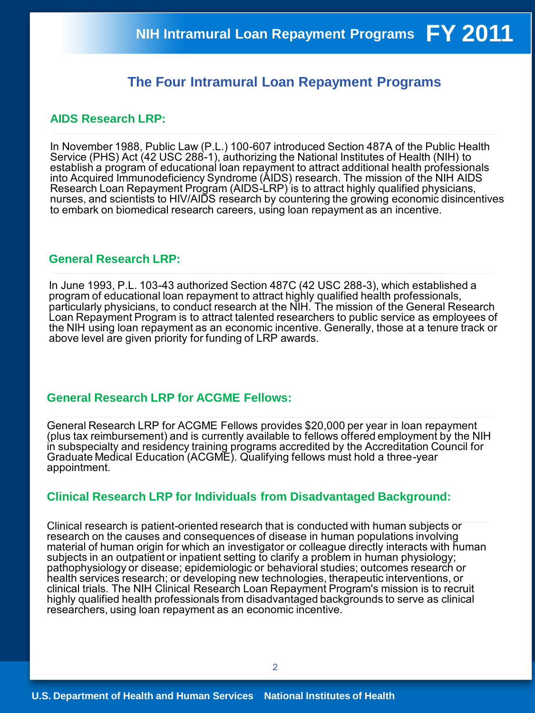### **The Four Intramural Loan Repayment Programs**

### **AIDS Research LRP:**

In November 1988, Public Law (P.L.) 100-607 introduced Section 487A of the Public Health Service (PHS) Act (42 USC 288-1), authorizing the National Institutes of Health (NIH) to establish a program of educational loan repayment to attract additional health professionals into Acquired Immunodeficiency Syndrome (AIDS) research. The mission of the NIH AIDS Research Loan Repayment Program (AIDS-LRP) is to attract highly qualified physicians, nurses, and scientists to HIV/AIDS research by countering the growing economic disincentives to embark on biomedical research careers, using loan repayment as an incentive.

#### **General Research LRP:**

In June 1993, P.L. 103-43 authorized Section 487C (42 USC 288-3), which established a program of educational loan repayment to attract highly qualified health professionals, particularly physicians, to conduct research at the NIH. The mission of the General Research Loan Repayment Program is to attract talented researchers to public service as employees of the NIH using loan repayment as an economic incentive. Generally, those at a tenure track or above level are given priority for funding of LRP awards.

### **General Research LRP for ACGME Fellows:**

General Research LRP for ACGME Fellows provides \$20,000 per year in loan repayment (plus tax reimbursement) and is currently available to fellows offered employment by the NIH in subspecialty and residency training programs accredited by the Accreditation Council for Graduate Medical Education (ACGME). Qualifying fellows must hold a three-year appointment.

### **Clinical Research LRP for Individuals from Disadvantaged Background:**

Clinical research is patient-oriented research that is conducted with human subjects or research on the causes and consequences of disease in human populations involving material of human origin for which an investigator or colleague directly interacts with human subjects in an outpatient or inpatient setting to clarify a problem in human physiology; pathophysiology or disease; epidemiologic or behavioral studies; outcomes research or health services research; or developing new technologies, therapeutic interventions, or clinical trials. The NIH Clinical Research Loan Repayment Program's mission is to recruit highly qualified health professionals from disadvantaged backgrounds to serve as clinical researchers, using loan repayment as an economic incentive.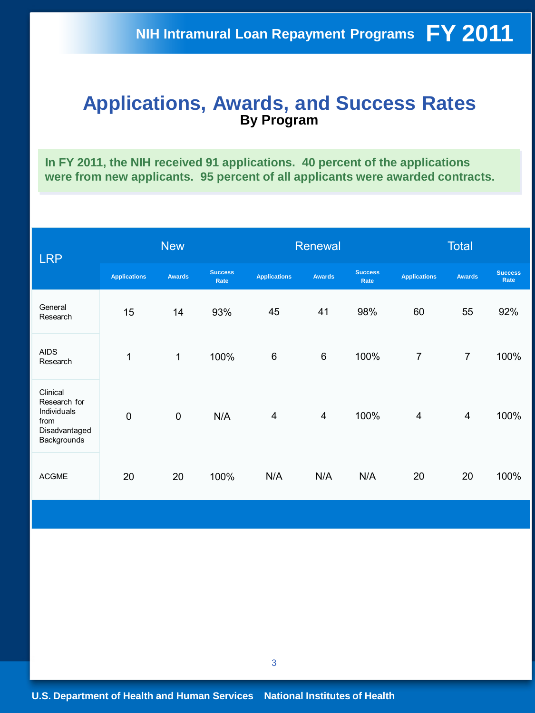### **By Program Applications, Awards, and Success Rates**

**In FY 2011, the NIH received 91 applications. 40 percent of the applications were from new applicants. 95 percent of all applicants were awarded contracts.** 

| <b>LRP</b>                                                                      | <b>New</b>          |               |                        | Renewal             |                |                        | <b>Total</b>        |                |                        |
|---------------------------------------------------------------------------------|---------------------|---------------|------------------------|---------------------|----------------|------------------------|---------------------|----------------|------------------------|
|                                                                                 | <b>Applications</b> | <b>Awards</b> | <b>Success</b><br>Rate | <b>Applications</b> | <b>Awards</b>  | <b>Success</b><br>Rate | <b>Applications</b> | <b>Awards</b>  | <b>Success</b><br>Rate |
| General<br>Research                                                             | 15                  | 14            | 93%                    | 45                  | 41             | 98%                    | 60                  | 55             | 92%                    |
| <b>AIDS</b><br>Research                                                         | 1                   | 1             | 100%                   | $\,6$               | $6\phantom{1}$ | 100%                   | $\overline{7}$      | $\overline{7}$ | 100%                   |
| Clinical<br>Research for<br>Individuals<br>from<br>Disadvantaged<br>Backgrounds | $\pmb{0}$           | $\mathbf 0$   | N/A                    | $\overline{4}$      | 4              | 100%                   | $\overline{4}$      | 4              | 100%                   |
| <b>ACGME</b>                                                                    | 20                  | 20            | 100%                   | N/A                 | N/A            | N/A                    | 20                  | 20             | 100%                   |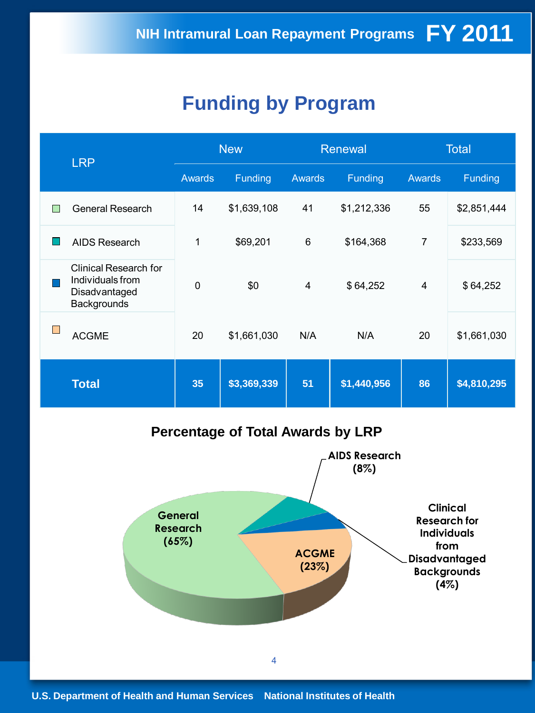## **Funding by Program**

| <b>LRP</b> |                                                                                  | <b>New</b>    |                |        | <b>Renewal</b> | <b>Total</b>            |                |
|------------|----------------------------------------------------------------------------------|---------------|----------------|--------|----------------|-------------------------|----------------|
|            |                                                                                  | <b>Awards</b> | <b>Funding</b> | Awards | Funding        | Awards                  | <b>Funding</b> |
| П          | <b>General Research</b>                                                          | 14            | \$1,639,108    | 41     | \$1,212,336    | 55                      | \$2,851,444    |
|            | <b>AIDS Research</b>                                                             | 1             | \$69,201       | 6      | \$164,368      | $\overline{7}$          | \$233,569      |
|            | <b>Clinical Research for</b><br>Individuals from<br>Disadvantaged<br>Backgrounds | 0             | \$0            | 4      | \$64,252       | $\overline{\mathbf{4}}$ | \$64,252       |
| $\Box$     | <b>ACGME</b>                                                                     | 20            | \$1,661,030    | N/A    | N/A            | 20                      | \$1,661,030    |
|            | <b>Total</b>                                                                     | 35            | \$3,369,339    | 51     | \$1,440,956    | 86                      | \$4,810,295    |

### **Percentage of Total Awards by LRP**

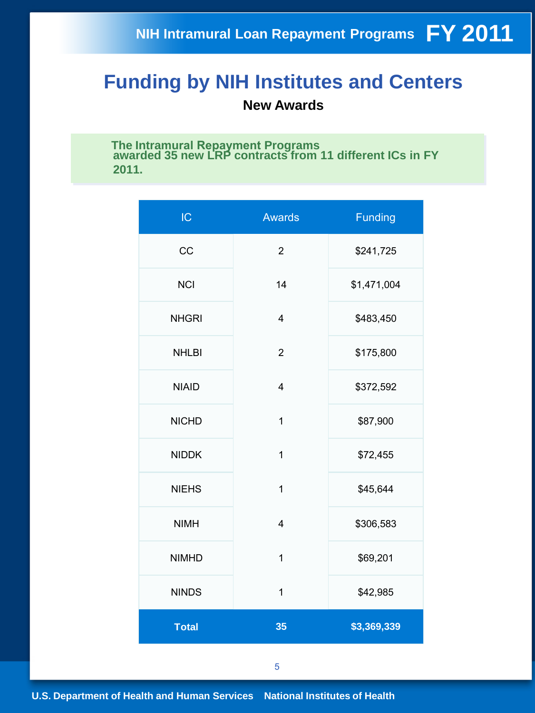## **Funding by NIH Institutes and Centers**

**New Awards** 

**The Intramural Repayment Programs awarded 35 new LRP contracts from 11 different ICs in FY 2011.** 

| IC           | <b>Awards</b>  | <b>Funding</b> |
|--------------|----------------|----------------|
| CC           | $\overline{2}$ | \$241,725      |
| <b>NCI</b>   | 14             | \$1,471,004    |
| <b>NHGRI</b> | $\overline{4}$ | \$483,450      |
| <b>NHLBI</b> | $\overline{2}$ | \$175,800      |
| <b>NIAID</b> | $\overline{4}$ | \$372,592      |
| <b>NICHD</b> | $\mathbf{1}$   | \$87,900       |
| <b>NIDDK</b> | $\overline{1}$ | \$72,455       |
| <b>NIEHS</b> | $\mathbf{1}$   | \$45,644       |
| <b>NIMH</b>  | 4              | \$306,583      |
| <b>NIMHD</b> | $\mathbf{1}$   | \$69,201       |
| <b>NINDS</b> | $\overline{1}$ | \$42,985       |
| <b>Total</b> | 35             | \$3,369,339    |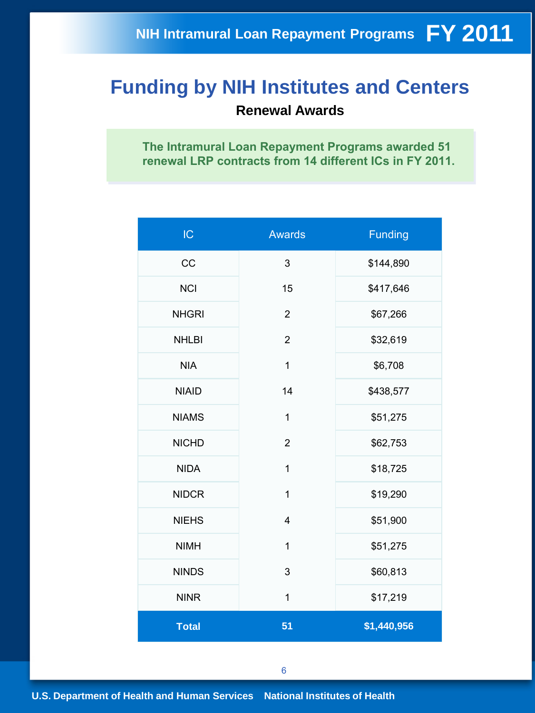## **Funding by NIH Institutes and Centers Renewal Awards**

**The Intramural Loan Repayment Programs awarded 51 renewal LRP contracts from 14 different ICs in FY 2011.** 

| IC           | <b>Awards</b>  | <b>Funding</b> |
|--------------|----------------|----------------|
| CC           | 3              | \$144,890      |
| <b>NCI</b>   | 15             | \$417,646      |
| <b>NHGRI</b> | $\overline{2}$ | \$67,266       |
| <b>NHLBI</b> | $\overline{2}$ | \$32,619       |
| <b>NIA</b>   | 1              | \$6,708        |
| <b>NIAID</b> | 14             | \$438,577      |
| <b>NIAMS</b> | 1              | \$51,275       |
| <b>NICHD</b> | $\overline{2}$ | \$62,753       |
| <b>NIDA</b>  | 1              | \$18,725       |
| <b>NIDCR</b> | 1              | \$19,290       |
| <b>NIEHS</b> | 4              | \$51,900       |
| <b>NIMH</b>  | $\mathbf{1}$   | \$51,275       |
| <b>NINDS</b> | 3              | \$60,813       |
| <b>NINR</b>  | $\mathbf{1}$   | \$17,219       |
| <b>Total</b> | 51             | \$1,440,956    |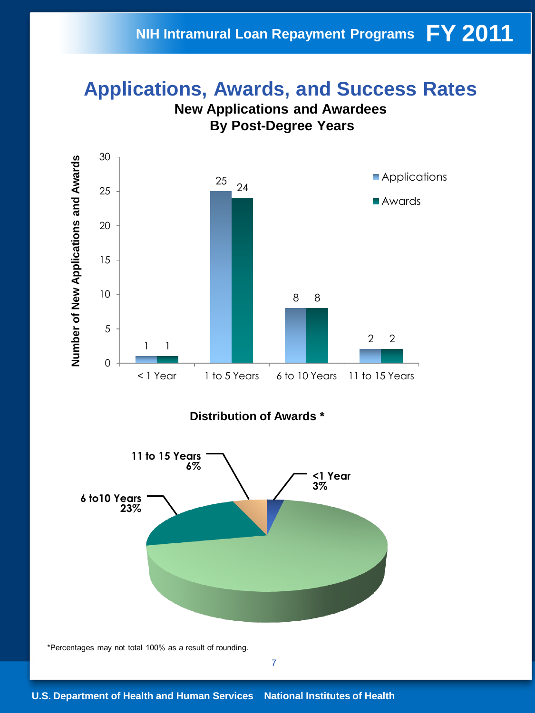### **Applications, Awards, and Success Rates New Applications and Awardees**

**By Post-Degree Years** 

**rds a** 30  $\begin{array}{c|c|c|c|c} & & 25 & & \text{Applications} \end{array}$  24 **A nd a s**  25  $25 - 24$ ■ Awards 20 **r** of New Application 15 10 **e**8 8 5 **be** 2 2 **um N**1 1 0 < 1 Year 1 to 5 Years 6 to 10 Years 11 to 15 Years **Distribution of Awards \* 11 to 15 Years 6% <1 Year 3% 6 to10 Years 23%** 

\*Percentages may not total 100% as a result of rounding.

7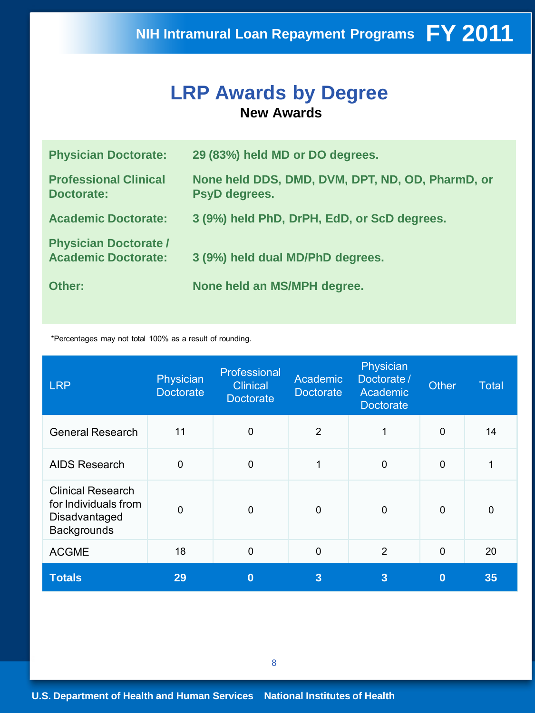### **LRP Awards by Degree New Awards**

| <b>Physician Doctorate:</b>                                | 29 (83%) held MD or DO degrees.                                   |
|------------------------------------------------------------|-------------------------------------------------------------------|
| <b>Professional Clinical</b><br><b>Doctorate:</b>          | None held DDS, DMD, DVM, DPT, ND, OD, PharmD, or<br>PsyD degrees. |
| <b>Academic Doctorate:</b>                                 | 3 (9%) held PhD, DrPH, EdD, or ScD degrees.                       |
| <b>Physician Doctorate /</b><br><b>Academic Doctorate:</b> | 3 (9%) held dual MD/PhD degrees.                                  |
| Other:                                                     | None held an MS/MPH degree.                                       |

\*Percentages may not total 100% as a result of rounding.

| <b>LRP</b>                                                                              | <b>Physician</b><br><b>Doctorate</b> | Professional<br><b>Clinical</b><br><b>Doctorate</b> | <b>Academic</b><br><b>Doctorate</b> | Physician<br>Doctorate /<br>Academic<br><b>Doctorate</b> | <b>Other</b> | <b>Total</b> |
|-----------------------------------------------------------------------------------------|--------------------------------------|-----------------------------------------------------|-------------------------------------|----------------------------------------------------------|--------------|--------------|
| <b>General Research</b>                                                                 | 11                                   | $\mathbf 0$                                         | $\overline{2}$                      |                                                          | $\mathbf 0$  | 14           |
| <b>AIDS Research</b>                                                                    | $\mathbf 0$                          | $\mathbf 0$                                         | 1                                   | 0                                                        | $\mathbf 0$  | 1            |
| <b>Clinical Research</b><br>for Individuals from<br>Disadvantaged<br><b>Backgrounds</b> | $\mathbf 0$                          | $\mathbf 0$                                         | $\mathbf 0$                         | 0                                                        | $\Omega$     | $\mathbf 0$  |
| <b>ACGME</b>                                                                            | 18                                   | $\mathbf 0$                                         | $\mathbf 0$                         | 2                                                        | $\mathbf 0$  | 20           |
| <b>Totals</b>                                                                           | 29                                   | $\bf{0}$                                            | 3                                   | 3                                                        | $\bf{0}$     | 35           |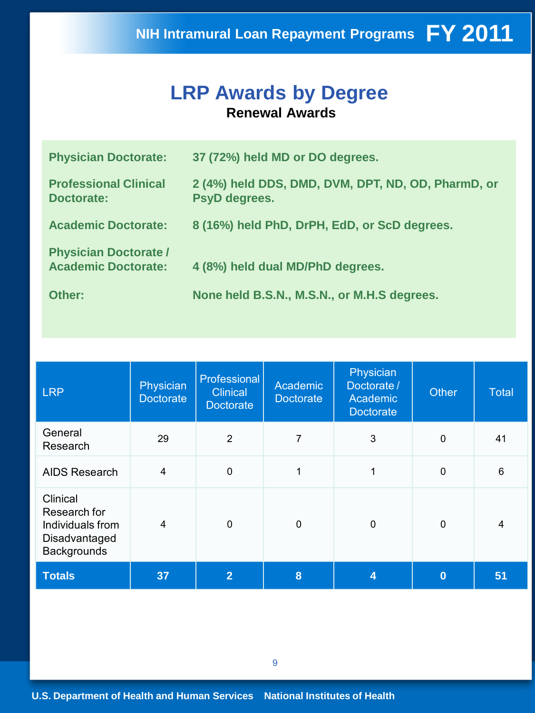### **LRP Awards by Degree Renewal Awards**

| <b>Physician Doctorate:</b>                                | 37 (72%) held MD or DO degrees.                                     |
|------------------------------------------------------------|---------------------------------------------------------------------|
| <b>Professional Clinical</b><br><b>Doctorate:</b>          | 2 (4%) held DDS, DMD, DVM, DPT, ND, OD, PharmD, or<br>PsyD degrees. |
| <b>Academic Doctorate:</b>                                 | 8 (16%) held PhD, DrPH, EdD, or ScD degrees.                        |
| <b>Physician Doctorate /</b><br><b>Academic Doctorate:</b> | 4 (8%) held dual MD/PhD degrees.                                    |
| Other:                                                     | None held B.S.N., M.S.N., or M.H.S degrees.                         |

| <b>LRP</b>                                                                          | Physician<br><b>Doctorate</b> | Professional<br><b>Clinical</b><br><b>Doctorate</b> | Academic<br><b>Doctorate</b> | Physician<br>Doctorate /<br>Academic<br><b>Doctorate</b> | <b>Other</b> | <b>Total</b> |
|-------------------------------------------------------------------------------------|-------------------------------|-----------------------------------------------------|------------------------------|----------------------------------------------------------|--------------|--------------|
| General<br>Research                                                                 | 29                            | $\overline{2}$                                      | 7                            | 3                                                        | $\mathbf 0$  | 41           |
| <b>AIDS Research</b>                                                                | 4                             | $\mathbf 0$                                         | 1                            | 1                                                        | $\mathbf 0$  | 6            |
| Clinical<br>Research for<br>Individuals from<br>Disadvantaged<br><b>Backgrounds</b> | 4                             | $\mathbf 0$                                         | 0                            | 0                                                        | $\mathbf 0$  | 4            |
| <b>Totals</b>                                                                       | 37                            | $\overline{2}$                                      | 8                            | 4                                                        | $\bf{0}$     | 51           |

9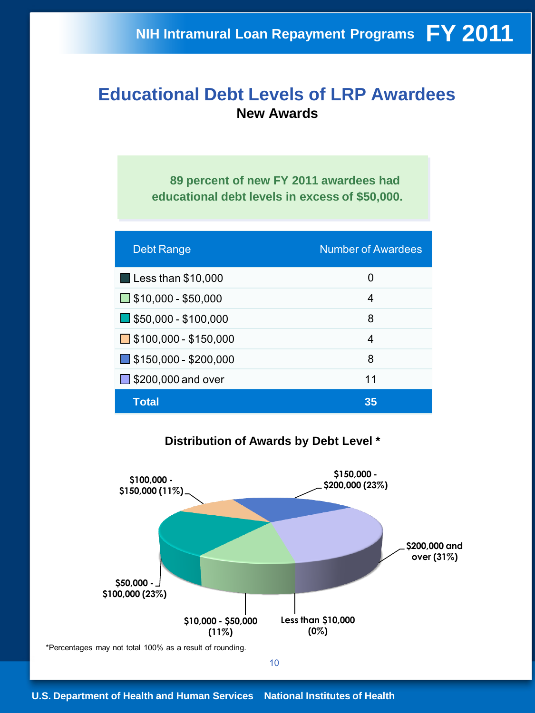### **Educational Debt Levels of LRP Awardees New Awards**

**89 percent of new FY 2011 awardees had educational debt levels in excess of \$50,000.** 

| <b>Debt Range</b>                    | <b>Number of Awardees</b> |
|--------------------------------------|---------------------------|
| $\blacksquare$ Less than \$10,000    | 0                         |
| $\Box$ \$10,000 - \$50,000           | 4                         |
| $\blacksquare$ \$50,000 - \$100,000  | 8                         |
| $\Box$ \$100,000 - \$150,000         | 4                         |
| $\blacksquare$ \$150,000 - \$200,000 | 8                         |
| $\Box$ \$200,000 and over            | 11                        |
| <b>Total</b>                         | 35                        |

 **Distribution of Awards by Debt Level \*** 



\*Percentages may not total 100% as a result of rounding.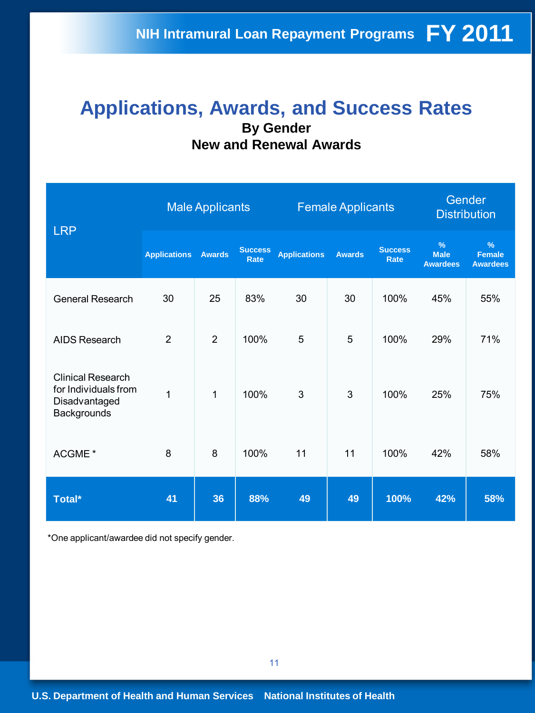# **Applications, Awards, and Success Rates By Gender New and Renewal Awards**

|                                                                                  | <b>Male Applicants</b> |                |                               | <b>Female Applicants</b> |               |                               | Gender<br><b>Distribution</b>       |                                                   |
|----------------------------------------------------------------------------------|------------------------|----------------|-------------------------------|--------------------------|---------------|-------------------------------|-------------------------------------|---------------------------------------------------|
| <b>LRP</b>                                                                       | <b>Applications</b>    | <b>Awards</b>  | <b>Success</b><br><b>Rate</b> | <b>Applications</b>      | <b>Awards</b> | <b>Success</b><br><b>Rate</b> | %<br><b>Male</b><br><b>Awardees</b> | $\frac{9}{6}$<br><b>Female</b><br><b>Awardees</b> |
| <b>General Research</b>                                                          | 30                     | 25             | 83%                           | 30                       | 30            | 100%                          | 45%                                 | 55%                                               |
| <b>AIDS Research</b>                                                             | $\overline{2}$         | $\overline{2}$ | 100%                          | 5                        | 5             | 100%                          | 29%                                 | 71%                                               |
| <b>Clinical Research</b><br>for Individuals from<br>Disadvantaged<br>Backgrounds | $\mathbf{1}$           | $\mathbf 1$    | 100%                          | 3                        | 3             | 100%                          | 25%                                 | 75%                                               |
| ACGME <sup>*</sup>                                                               | 8                      | 8              | 100%                          | 11                       | 11            | 100%                          | 42%                                 | 58%                                               |
| Total*                                                                           | 41                     | 36             | 88%                           | 49                       | 49            | 100%                          | 42%                                 | 58%                                               |

\*One applicant/awardee did not specify gender.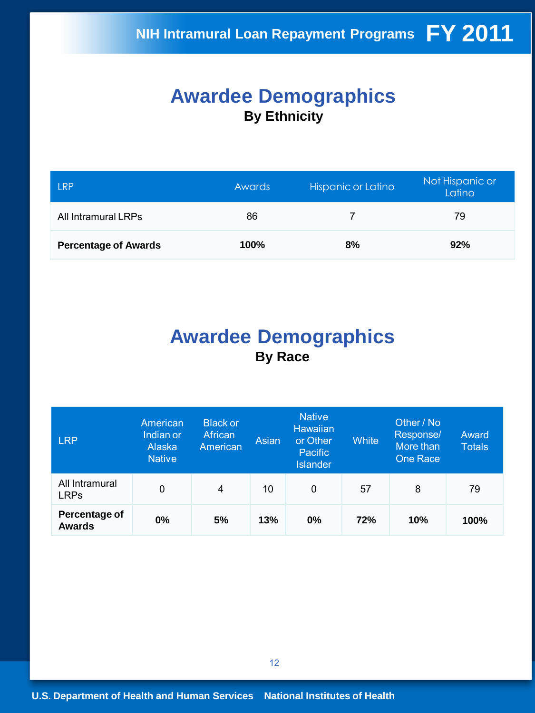## **Awardee Demographics By Ethnicity**

| <b>LRP</b>                  | <b>Awards</b> | <b>Hispanic or Latino</b> | Not Hispanic or<br>Latino |
|-----------------------------|---------------|---------------------------|---------------------------|
| All Intramural LRPs         | 86            |                           | 79                        |
| <b>Percentage of Awards</b> | <b>100%</b>   | 8%                        | 92%                       |

## **Awardee Demographics By Race**

| <b>LRP</b>                     | American<br>Indian or<br>Alaska<br><b>Native</b> | <b>Black or</b><br>African<br>American | Asian | <b>Native</b><br><b>Hawaiian</b><br>or Other<br><b>Pacific</b><br><b>Islander</b> | <b>White</b> | Other / No<br>Response/<br>More than<br><b>One Race</b> | <b>Award</b><br><b>Totals</b> |
|--------------------------------|--------------------------------------------------|----------------------------------------|-------|-----------------------------------------------------------------------------------|--------------|---------------------------------------------------------|-------------------------------|
| All Intramural<br><b>LRPs</b>  | 0                                                | 4                                      | 10    | 0                                                                                 | 57           | 8                                                       | 79                            |
| Percentage of<br><b>Awards</b> | 0%                                               | 5%                                     | 13%   | 0%                                                                                | 72%          | 10%                                                     | 100%                          |